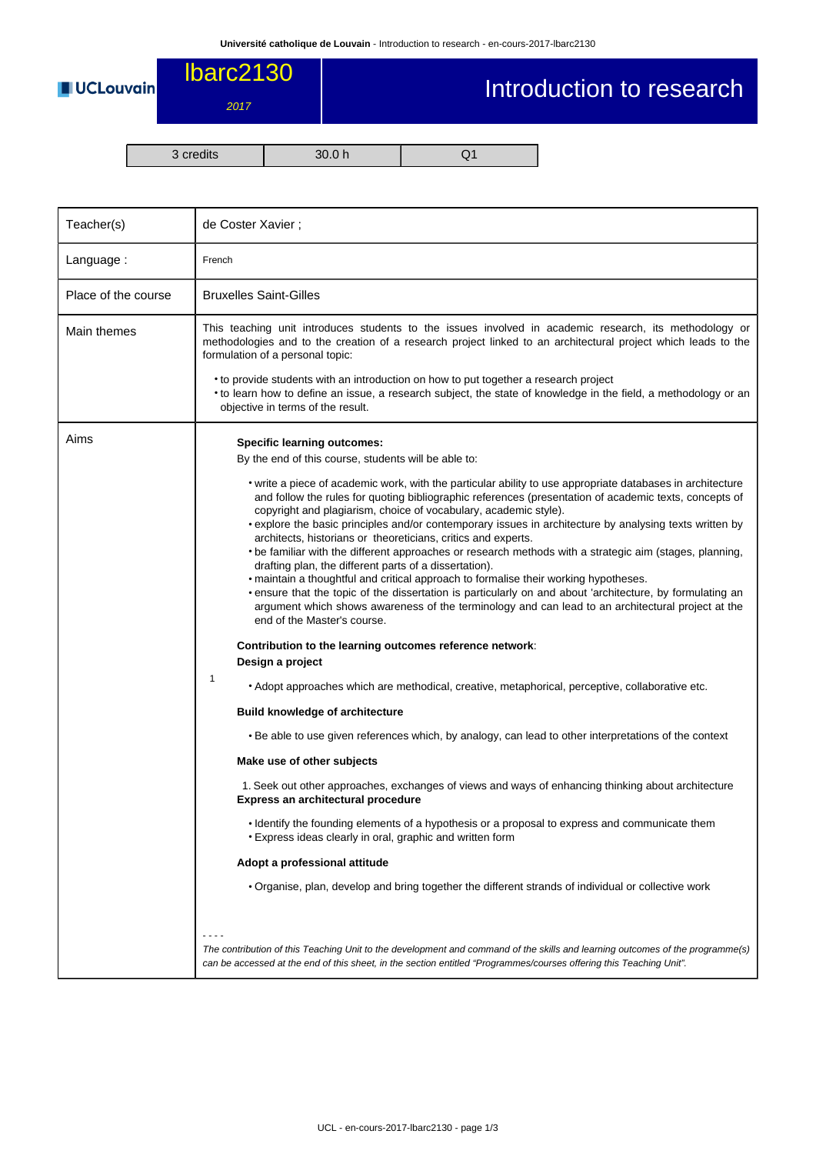**UCLouvain** 

## Introduction to research

3 credits 30.0 h Q1

lbarc2130

2017

| Teacher(s)          | de Coster Xavier;                                                                                                                                                                                                                                                                                                                                                                                                                                                                                                                                                                                                                                                                                                                                                                                                                                                                                                                                                                  |  |  |  |  |
|---------------------|------------------------------------------------------------------------------------------------------------------------------------------------------------------------------------------------------------------------------------------------------------------------------------------------------------------------------------------------------------------------------------------------------------------------------------------------------------------------------------------------------------------------------------------------------------------------------------------------------------------------------------------------------------------------------------------------------------------------------------------------------------------------------------------------------------------------------------------------------------------------------------------------------------------------------------------------------------------------------------|--|--|--|--|
| Language:           | French                                                                                                                                                                                                                                                                                                                                                                                                                                                                                                                                                                                                                                                                                                                                                                                                                                                                                                                                                                             |  |  |  |  |
| Place of the course | <b>Bruxelles Saint-Gilles</b>                                                                                                                                                                                                                                                                                                                                                                                                                                                                                                                                                                                                                                                                                                                                                                                                                                                                                                                                                      |  |  |  |  |
| Main themes         | This teaching unit introduces students to the issues involved in academic research, its methodology or<br>methodologies and to the creation of a research project linked to an architectural project which leads to the<br>formulation of a personal topic:                                                                                                                                                                                                                                                                                                                                                                                                                                                                                                                                                                                                                                                                                                                        |  |  |  |  |
|                     | • to provide students with an introduction on how to put together a research project<br>• to learn how to define an issue, a research subject, the state of knowledge in the field, a methodology or an<br>objective in terms of the result.                                                                                                                                                                                                                                                                                                                                                                                                                                                                                                                                                                                                                                                                                                                                       |  |  |  |  |
| Aims                | <b>Specific learning outcomes:</b><br>By the end of this course, students will be able to:                                                                                                                                                                                                                                                                                                                                                                                                                                                                                                                                                                                                                                                                                                                                                                                                                                                                                         |  |  |  |  |
|                     | • write a piece of academic work, with the particular ability to use appropriate databases in architecture<br>and follow the rules for quoting bibliographic references (presentation of academic texts, concepts of<br>copyright and plagiarism, choice of vocabulary, academic style).<br>• explore the basic principles and/or contemporary issues in architecture by analysing texts written by<br>architects, historians or theoreticians, critics and experts.<br>• be familiar with the different approaches or research methods with a strategic aim (stages, planning,<br>drafting plan, the different parts of a dissertation).<br>• maintain a thoughtful and critical approach to formalise their working hypotheses.<br>• ensure that the topic of the dissertation is particularly on and about 'architecture, by formulating an<br>argument which shows awareness of the terminology and can lead to an architectural project at the<br>end of the Master's course. |  |  |  |  |
|                     | Contribution to the learning outcomes reference network:<br>Design a project                                                                                                                                                                                                                                                                                                                                                                                                                                                                                                                                                                                                                                                                                                                                                                                                                                                                                                       |  |  |  |  |
|                     | 1<br>• Adopt approaches which are methodical, creative, metaphorical, perceptive, collaborative etc.                                                                                                                                                                                                                                                                                                                                                                                                                                                                                                                                                                                                                                                                                                                                                                                                                                                                               |  |  |  |  |
|                     | <b>Build knowledge of architecture</b>                                                                                                                                                                                                                                                                                                                                                                                                                                                                                                                                                                                                                                                                                                                                                                                                                                                                                                                                             |  |  |  |  |
|                     | • Be able to use given references which, by analogy, can lead to other interpretations of the context                                                                                                                                                                                                                                                                                                                                                                                                                                                                                                                                                                                                                                                                                                                                                                                                                                                                              |  |  |  |  |
|                     | Make use of other subjects                                                                                                                                                                                                                                                                                                                                                                                                                                                                                                                                                                                                                                                                                                                                                                                                                                                                                                                                                         |  |  |  |  |
|                     | 1. Seek out other approaches, exchanges of views and ways of enhancing thinking about architecture<br>Express an architectural procedure                                                                                                                                                                                                                                                                                                                                                                                                                                                                                                                                                                                                                                                                                                                                                                                                                                           |  |  |  |  |
|                     | · Identify the founding elements of a hypothesis or a proposal to express and communicate them<br>• Express ideas clearly in oral, graphic and written form                                                                                                                                                                                                                                                                                                                                                                                                                                                                                                                                                                                                                                                                                                                                                                                                                        |  |  |  |  |
|                     | Adopt a professional attitude                                                                                                                                                                                                                                                                                                                                                                                                                                                                                                                                                                                                                                                                                                                                                                                                                                                                                                                                                      |  |  |  |  |
|                     | • Organise, plan, develop and bring together the different strands of individual or collective work                                                                                                                                                                                                                                                                                                                                                                                                                                                                                                                                                                                                                                                                                                                                                                                                                                                                                |  |  |  |  |
|                     | $- - - -$<br>The contribution of this Teaching Unit to the development and command of the skills and learning outcomes of the programme(s)<br>can be accessed at the end of this sheet, in the section entitled "Programmes/courses offering this Teaching Unit".                                                                                                                                                                                                                                                                                                                                                                                                                                                                                                                                                                                                                                                                                                                  |  |  |  |  |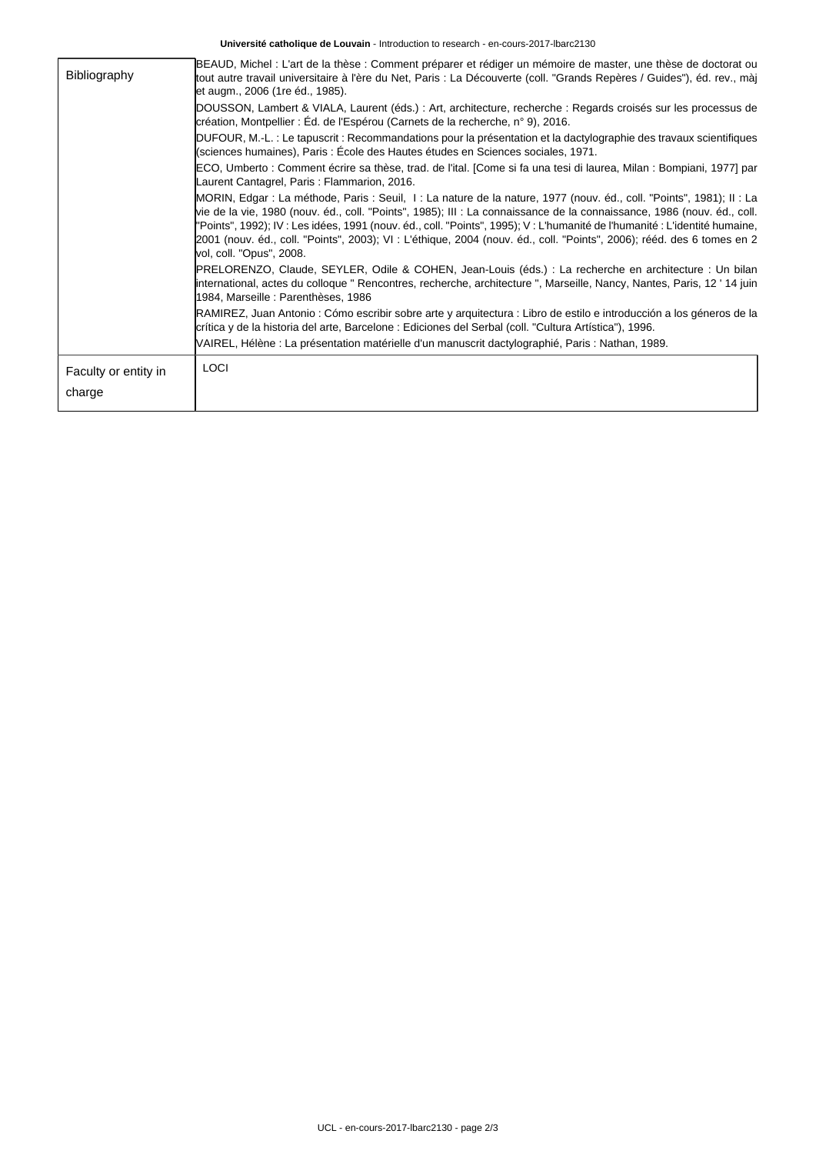**Université catholique de Louvain** - Introduction to research - en-cours-2017-lbarc2130

| Bibliography                   | BEAUD, Michel : L'art de la thèse : Comment préparer et rédiger un mémoire de master, une thèse de doctorat ou<br>tout autre travail universitaire à l'ère du Net, Paris : La Découverte (coll. "Grands Repères / Guides"), éd. rev., màj<br>let augm., 2006 (1re éd., 1985).                                                                                                                                                                                                                                                         |
|--------------------------------|---------------------------------------------------------------------------------------------------------------------------------------------------------------------------------------------------------------------------------------------------------------------------------------------------------------------------------------------------------------------------------------------------------------------------------------------------------------------------------------------------------------------------------------|
|                                | DOUSSON, Lambert & VIALA, Laurent (éds.) : Art, architecture, recherche : Regards croisés sur les processus de<br>création, Montpellier : Éd. de l'Espérou (Carnets de la recherche, n° 9), 2016.                                                                                                                                                                                                                                                                                                                                     |
|                                | DUFOUR, M.-L. : Le tapuscrit : Recommandations pour la présentation et la dactylographie des travaux scientifiques<br>(sciences humaines), Paris : École des Hautes études en Sciences sociales, 1971.                                                                                                                                                                                                                                                                                                                                |
|                                | ECO, Umberto : Comment écrire sa thèse, trad. de l'ital. [Come si fa una tesi di laurea, Milan : Bompiani, 1977] par<br>Laurent Cantagrel, Paris: Flammarion, 2016.                                                                                                                                                                                                                                                                                                                                                                   |
|                                | MORIN, Edgar : La méthode, Paris : Seuil, I : La nature de la nature, 1977 (nouv. éd., coll. "Points", 1981); II : La<br>vie de la vie, 1980 (nouv. éd., coll. "Points", 1985); III : La connaissance de la connaissance, 1986 (nouv. éd., coll.<br>"Points", 1992); IV : Les idées, 1991 (nouv. éd., coll. "Points", 1995); V : L'humanité de l'humanité : L'identité humaine,<br>2001 (nouv. éd., coll. "Points", 2003); VI : L'éthique, 2004 (nouv. éd., coll. "Points", 2006); rééd. des 6 tomes en 2<br>vol, coll. "Opus", 2008. |
|                                | PRELORENZO, Claude, SEYLER, Odile & COHEN, Jean-Louis (éds.) : La recherche en architecture : Un bilan<br>international, actes du colloque " Rencontres, recherche, architecture ", Marseille, Nancy, Nantes, Paris, 12 ' 14 juin<br>1984, Marseille : Parenthèses, 1986                                                                                                                                                                                                                                                              |
|                                | RAMIREZ, Juan Antonio : Cómo escribir sobre arte y arquitectura : Libro de estilo e introducción a los géneros de la<br>crítica y de la historia del arte, Barcelone : Ediciones del Serbal (coll. "Cultura Artística"), 1996.                                                                                                                                                                                                                                                                                                        |
|                                | VAIREL, Hélène : La présentation matérielle d'un manuscrit dactylographié, Paris : Nathan, 1989.                                                                                                                                                                                                                                                                                                                                                                                                                                      |
| Faculty or entity in<br>charge | LOCI                                                                                                                                                                                                                                                                                                                                                                                                                                                                                                                                  |
|                                |                                                                                                                                                                                                                                                                                                                                                                                                                                                                                                                                       |